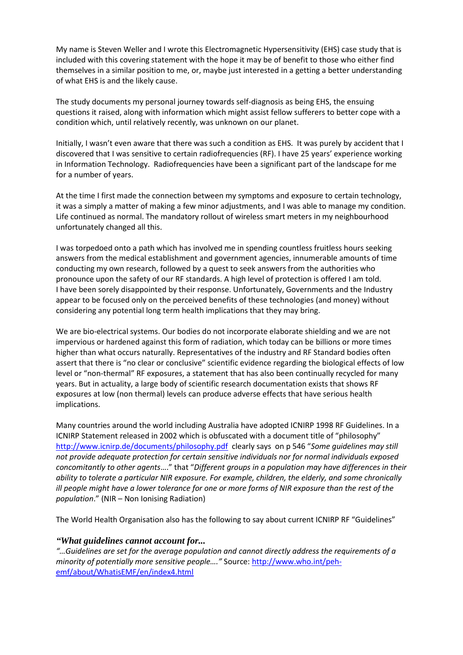My name is Steven Weller and I wrote this Electromagnetic Hypersensitivity (EHS) case study that is included with this covering statement with the hope it may be of benefit to those who either find themselves in a similar position to me, or, maybe just interested in a getting a better understanding of what EHS is and the likely cause.

The study documents my personal journey towards self-diagnosis as being EHS, the ensuing questions it raised, along with information which might assist fellow sufferers to better cope with a condition which, until relatively recently, was unknown on our planet.

Initially, I wasn't even aware that there was such a condition as EHS. It was purely by accident that I discovered that I was sensitive to certain radiofrequencies (RF). I have 25 years' experience working in Information Technology. Radiofrequencies have been a significant part of the landscape for me for a number of years.

At the time I first made the connection between my symptoms and exposure to certain technology, it was a simply a matter of making a few minor adjustments, and I was able to manage my condition. Life continued as normal. The mandatory rollout of wireless smart meters in my neighbourhood unfortunately changed all this.

I was torpedoed onto a path which has involved me in spending countless fruitless hours seeking answers from the medical establishment and government agencies, innumerable amounts of time conducting my own research, followed by a quest to seek answers from the authorities who pronounce upon the safety of our RF standards. A high level of protection is offered I am told. I have been sorely disappointed by their response. Unfortunately, Governments and the Industry appear to be focused only on the perceived benefits of these technologies (and money) without considering any potential long term health implications that they may bring.

We are bio-electrical systems. Our bodies do not incorporate elaborate shielding and we are not impervious or hardened against this form of radiation, which today can be billions or more times higher than what occurs naturally. Representatives of the industry and RF Standard bodies often assert that there is "no clear or conclusive" scientific evidence regarding the biological effects of low level or "non-thermal" RF exposures, a statement that has also been continually recycled for many years. But in actuality, a large body of scientific research documentation exists that shows RF exposures at low (non thermal) levels can produce adverse effects that have serious health implications.

Many countries around the world including Australia have adopted ICNIRP 1998 RF Guidelines. In a ICNIRP Statement released in 2002 which is obfuscated with a document title of "philosophy" <http://www.icnirp.de/documents/philosophy.pdf>clearly says on p 546 "*Some guidelines may still not provide adequate protection for certain sensitive individuals nor for normal individuals exposed concomitantly to other agents*…." that "*Different groups in a population may have differences in their ability to tolerate a particular NIR exposure. For example, children, the elderly, and some chronically ill people might have a lower tolerance for one or more forms of NIR exposure than the rest of the population*." (NIR – Non Ionising Radiation)

The World Health Organisation also has the following to say about current ICNIRP RF "Guidelines"

## *"What guidelines cannot account for...*

*"…Guidelines are set for the average population and cannot directly address the requirements of a minority of potentially more sensitive people…."* Source: [http://www.who.int/peh](http://www.who.int/peh-emf/about/WhatisEMF/en/index4.html)[emf/about/WhatisEMF/en/index4.html](http://www.who.int/peh-emf/about/WhatisEMF/en/index4.html)